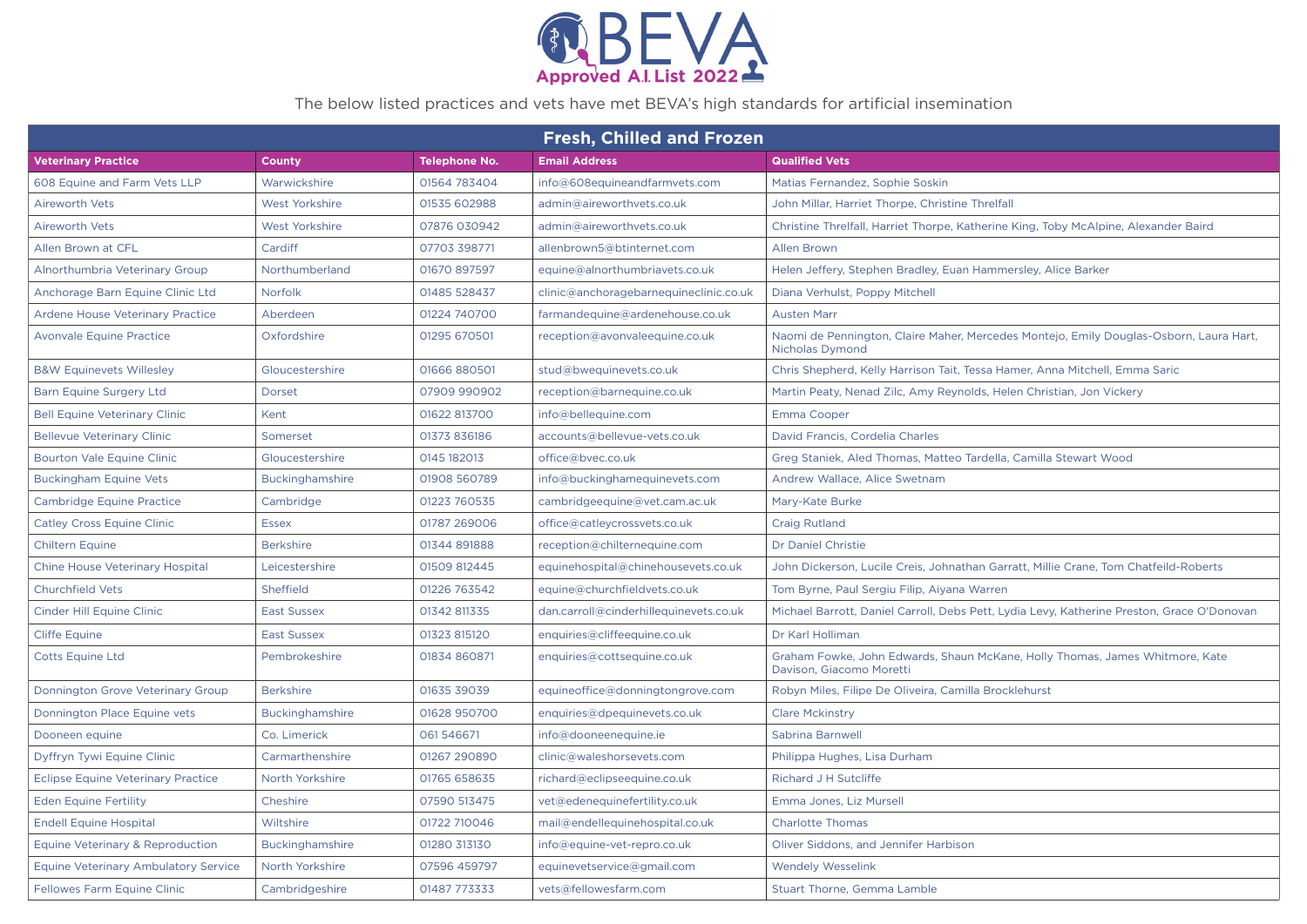

## The below listed practices and vets have met BEVA's high standards for artificial insemination

| <b>Fresh, Chilled and Frozen</b>          |                        |                      |                                        |                                                                                                           |
|-------------------------------------------|------------------------|----------------------|----------------------------------------|-----------------------------------------------------------------------------------------------------------|
| <b>Veterinary Practice</b>                | <b>County</b>          | <b>Telephone No.</b> | <b>Email Address</b>                   | <b>Qualified Vets</b>                                                                                     |
| 608 Equine and Farm Vets LLP              | Warwickshire           | 01564 783404         | info@608equineandfarmvets.com          | Matias Fernandez, Sophie Soskin                                                                           |
| <b>Aireworth Vets</b>                     | West Yorkshire         | 01535 602988         | admin@aireworthvets.co.uk              | John Millar, Harriet Thorpe, Christine Threlfall                                                          |
| <b>Aireworth Vets</b>                     | West Yorkshire         | 07876 030942         | admin@aireworthvets.co.uk              | Christine Threlfall, Harriet Thorpe, Katherine King, Toby McAlpine, Alexander Baird                       |
| Allen Brown at CFL                        | Cardiff                | 07703 398771         | allenbrown5@btinternet.com             | <b>Allen Brown</b>                                                                                        |
| Alnorthumbria Veterinary Group            | Northumberland         | 01670 897597         | equine@alnorthumbriavets.co.uk         | Helen Jeffery, Stephen Bradley, Euan Hammersley, Alice Barker                                             |
| Anchorage Barn Equine Clinic Ltd          | Norfolk                | 01485 528437         | clinic@anchoragebarnequineclinic.co.uk | Diana Verhulst, Poppy Mitchell                                                                            |
| <b>Ardene House Veterinary Practice</b>   | Aberdeen               | 01224 740700         | farmandequine@ardenehouse.co.uk        | <b>Austen Marr</b>                                                                                        |
| <b>Avonvale Equine Practice</b>           | Oxfordshire            | 01295 670501         | reception@avonvaleequine.co.uk         | Naomi de Pennington, Claire Maher, Mercedes Montejo, Emily Douglas-Osborn, Laura Hart,<br>Nicholas Dymond |
| <b>B&amp;W Equinevets Willesley</b>       | Gloucestershire        | 01666 880501         | stud@bwequinevets.co.uk                | Chris Shepherd, Kelly Harrison Tait, Tessa Hamer, Anna Mitchell, Emma Saric                               |
| <b>Barn Equine Surgery Ltd</b>            | Dorset                 | 07909 990902         | reception@barnequine.co.uk             | Martin Peaty, Nenad Zilc, Amy Reynolds, Helen Christian, Jon Vickery                                      |
| <b>Bell Equine Veterinary Clinic</b>      | Kent                   | 01622 813700         | info@bellequine.com                    | Emma Cooper                                                                                               |
| <b>Bellevue Veterinary Clinic</b>         | Somerset               | 01373 836186         | accounts@bellevue-vets.co.uk           | David Francis, Cordelia Charles                                                                           |
| <b>Bourton Vale Equine Clinic</b>         | Gloucestershire        | 0145 182013          | office@bvec.co.uk                      | Greg Staniek, Aled Thomas, Matteo Tardella, Camilla Stewart Wood                                          |
| <b>Buckingham Equine Vets</b>             | Buckinghamshire        | 01908 560789         | info@buckinghamequinevets.com          | Andrew Wallace, Alice Swetnam                                                                             |
| <b>Cambridge Equine Practice</b>          | Cambridge              | 01223 760535         | cambridgeequine@vet.cam.ac.uk          | Mary-Kate Burke                                                                                           |
| <b>Catley Cross Equine Clinic</b>         | <b>Essex</b>           | 01787 269006         | office@catleycrossvets.co.uk           | <b>Craig Rutland</b>                                                                                      |
| <b>Chiltern Equine</b>                    | <b>Berkshire</b>       | 01344 891888         | reception@chilternequine.com           | <b>Dr Daniel Christie</b>                                                                                 |
| <b>Chine House Veterinary Hospital</b>    | Leicestershire         | 01509 812445         | equinehospital@chinehousevets.co.uk    | John Dickerson, Lucile Creis, Johnathan Garratt, Millie Crane, Tom Chatfeild-Roberts                      |
| <b>Churchfield Vets</b>                   | Sheffield              | 01226 763542         | equine@churchfieldvets.co.uk           | Tom Byrne, Paul Sergiu Filip, Aiyana Warren                                                               |
| Cinder Hill Equine Clinic                 | <b>East Sussex</b>     | 01342 811335         | dan.carroll@cinderhillequinevets.co.uk | Michael Barrott, Daniel Carroll, Debs Pett, Lydia Levy, Katherine Preston, Grace O'Donovan                |
| <b>Cliffe Equine</b>                      | <b>East Sussex</b>     | 01323 815120         | enquiries@cliffeequine.co.uk           | Dr Karl Holliman                                                                                          |
| <b>Cotts Equine Ltd</b>                   | Pembrokeshire          | 01834 860871         | enquiries@cottsequine.co.uk            | Graham Fowke, John Edwards, Shaun McKane, Holly Thomas, James Whitmore, Kate<br>Davison, Giacomo Moretti  |
| Donnington Grove Veterinary Group         | <b>Berkshire</b>       | 01635 39039          | equineoffice@donningtongrove.com       | Robyn Miles, Filipe De Oliveira, Camilla Brocklehurst                                                     |
| Donnington Place Equine vets              | <b>Buckinghamshire</b> | 01628 950700         | enquiries@dpequinevets.co.uk           | <b>Clare Mckinstry</b>                                                                                    |
| Dooneen equine                            | Co. Limerick           | 061546671            | info@dooneenequine.ie                  | Sabrina Barnwell                                                                                          |
| Dyffryn Tywi Equine Clinic                | Carmarthenshire        | 01267 290890         | clinic@waleshorsevets.com              | Philippa Hughes, Lisa Durham                                                                              |
| <b>Eclipse Equine Veterinary Practice</b> | North Yorkshire        | 01765 658635         | richard@eclipseequine.co.uk            | Richard J H Sutcliffe                                                                                     |
| <b>Eden Equine Fertility</b>              | Cheshire               | 07590 513475         | vet@edenequinefertility.co.uk          | Emma Jones, Liz Mursell                                                                                   |
| <b>Endell Equine Hospital</b>             | Wiltshire              | 01722 710046         | mail@endellequinehospital.co.uk        | <b>Charlotte Thomas</b>                                                                                   |
| Equine Veterinary & Reproduction          | Buckinghamshire        | 01280 313130         | info@equine-vet-repro.co.uk            | Oliver Siddons, and Jennifer Harbison                                                                     |
| Equine Veterinary Ambulatory Service      | North Yorkshire        | 07596 459797         | equinevetservice@gmail.com             | <b>Wendely Wesselink</b>                                                                                  |
| <b>Fellowes Farm Equine Clinic</b>        | Cambridgeshire         | 01487 773333         | vets@fellowesfarm.com                  | Stuart Thorne, Gemma Lamble                                                                               |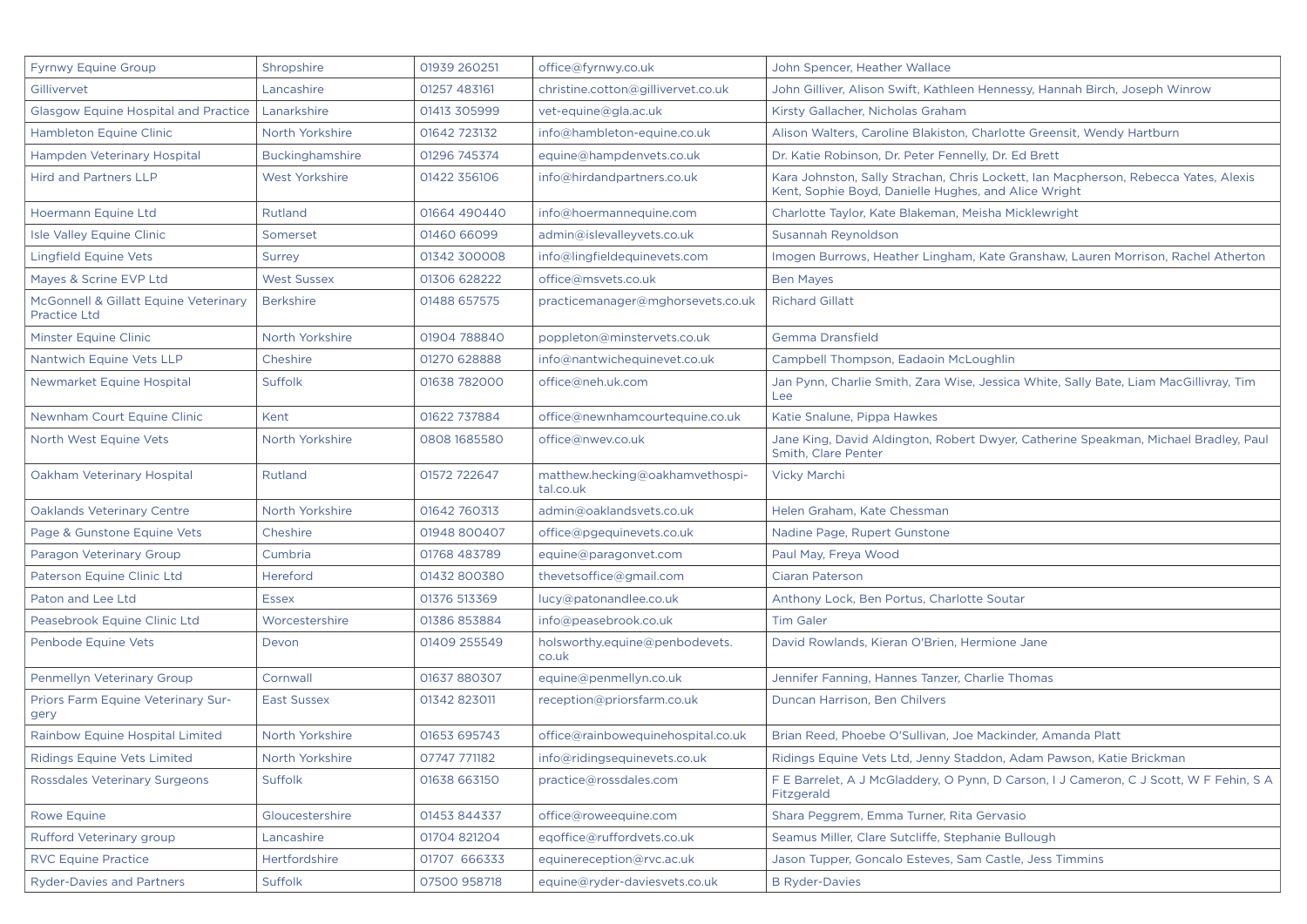| <b>Fyrnwy Equine Group</b>                            | Shropshire             | 01939 260251 | office@fyrnwy.co.uk                          | John Spencer, Heather Wallace                                                                                                               |
|-------------------------------------------------------|------------------------|--------------|----------------------------------------------|---------------------------------------------------------------------------------------------------------------------------------------------|
| Gillivervet                                           | Lancashire             | 01257 483161 | christine.cotton@gillivervet.co.uk           | John Gilliver, Alison Swift, Kathleen Hennessy, Hannah Birch, Joseph Winrow                                                                 |
| <b>Glasgow Equine Hospital and Practice</b>           | Lanarkshire            | 01413 305999 | vet-equine@gla.ac.uk                         | Kirsty Gallacher, Nicholas Graham                                                                                                           |
| <b>Hambleton Equine Clinic</b>                        | North Yorkshire        | 01642 723132 | info@hambleton-equine.co.uk                  | Alison Walters, Caroline Blakiston, Charlotte Greensit, Wendy Hartburn                                                                      |
| Hampden Veterinary Hospital                           | <b>Buckinghamshire</b> | 01296 745374 | equine@hampdenvets.co.uk                     | Dr. Katie Robinson, Dr. Peter Fennelly, Dr. Ed Brett                                                                                        |
| <b>Hird and Partners LLP</b>                          | West Yorkshire         | 01422 356106 | info@hirdandpartners.co.uk                   | Kara Johnston, Sally Strachan, Chris Lockett, Ian Macpherson, Rebecca Yates, Alexis<br>Kent, Sophie Boyd, Danielle Hughes, and Alice Wright |
| Hoermann Equine Ltd                                   | Rutland                | 01664 490440 | info@hoermannequine.com                      | Charlotte Taylor, Kate Blakeman, Meisha Micklewright                                                                                        |
| Isle Valley Equine Clinic                             | Somerset               | 01460 66099  | admin@islevalleyvets.co.uk                   | Susannah Reynoldson                                                                                                                         |
| <b>Lingfield Equine Vets</b>                          | Surrey                 | 01342 300008 | info@lingfieldequinevets.com                 | Imogen Burrows, Heather Lingham, Kate Granshaw, Lauren Morrison, Rachel Atherton                                                            |
| Mayes & Scrine EVP Ltd                                | <b>West Sussex</b>     | 01306 628222 | office@msvets.co.uk                          | <b>Ben Mayes</b>                                                                                                                            |
| McGonnell & Gillatt Equine Veterinary<br>Practice Ltd | <b>Berkshire</b>       | 01488 657575 | practicemanager@mghorsevets.co.uk            | <b>Richard Gillatt</b>                                                                                                                      |
| <b>Minster Equine Clinic</b>                          | North Yorkshire        | 01904 788840 | poppleton@minstervets.co.uk                  | Gemma Dransfield                                                                                                                            |
| Nantwich Equine Vets LLP                              | Cheshire               | 01270 628888 | info@nantwichequinevet.co.uk                 | Campbell Thompson, Eadaoin McLoughlin                                                                                                       |
| Newmarket Equine Hospital                             | <b>Suffolk</b>         | 01638 782000 | office@neh.uk.com                            | Jan Pynn, Charlie Smith, Zara Wise, Jessica White, Sally Bate, Liam MacGillivray, Tim<br>Lee                                                |
| Newnham Court Equine Clinic                           | Kent                   | 01622 737884 | office@newnhamcourtequine.co.uk              | Katie Snalune, Pippa Hawkes                                                                                                                 |
| North West Equine Vets                                | North Yorkshire        | 0808 1685580 | office@nwev.co.uk                            | Jane King, David Aldington, Robert Dwyer, Catherine Speakman, Michael Bradley, Paul<br>Smith, Clare Penter                                  |
| Oakham Veterinary Hospital                            | Rutland                | 01572 722647 | matthew.hecking@oakhamvethospi-<br>tal.co.uk | <b>Vicky Marchi</b>                                                                                                                         |
| <b>Oaklands Veterinary Centre</b>                     | North Yorkshire        | 01642 760313 | admin@oaklandsvets.co.uk                     | Helen Graham, Kate Chessman                                                                                                                 |
| Page & Gunstone Equine Vets                           | Cheshire               | 01948 800407 | office@pgequinevets.co.uk                    | Nadine Page, Rupert Gunstone                                                                                                                |
| Paragon Veterinary Group                              | Cumbria                | 01768 483789 | equine@paragonvet.com                        | Paul May, Freya Wood                                                                                                                        |
| Paterson Equine Clinic Ltd                            | Hereford               | 01432 800380 | thevets office@gmail.com                     | <b>Ciaran Paterson</b>                                                                                                                      |
| Paton and Lee Ltd                                     | <b>Essex</b>           | 01376 513369 | lucy@patonandlee.co.uk                       | Anthony Lock, Ben Portus, Charlotte Soutar                                                                                                  |
| Peasebrook Equine Clinic Ltd                          | Worcestershire         | 01386 853884 | info@peasebrook.co.uk                        | <b>Tim Galer</b>                                                                                                                            |
| Penbode Equine Vets                                   | Devon                  | 01409 255549 | holsworthy.equine@penbodevets.<br>co.uk      | David Rowlands, Kieran O'Brien, Hermione Jane                                                                                               |
| <b>Penmellyn Veterinary Group</b>                     | Cornwall               | 01637 880307 | equine@penmellyn.co.uk                       | Jennifer Fanning, Hannes Tanzer, Charlie Thomas                                                                                             |
| <b>Priors Farm Equine Veterinary Sur-</b><br>gery     | <b>East Sussex</b>     | 01342 823011 | reception@priorsfarm.co.uk                   | Duncan Harrison, Ben Chilvers                                                                                                               |
| Rainbow Equine Hospital Limited                       | North Yorkshire        | 01653 695743 | office@rainbowequinehospital.co.uk           | Brian Reed, Phoebe O'Sullivan, Joe Mackinder, Amanda Platt                                                                                  |
| <b>Ridings Equine Vets Limited</b>                    | North Yorkshire        | 07747 771182 | info@ridingsequinevets.co.uk                 | Ridings Equine Vets Ltd, Jenny Staddon, Adam Pawson, Katie Brickman                                                                         |
| <b>Rossdales Veterinary Surgeons</b>                  | Suffolk                | 01638 663150 | practice@rossdales.com                       | F E Barrelet, A J McGladdery, O Pynn, D Carson, I J Cameron, C J Scott, W F Fehin, S A<br>Fitzgerald                                        |
| <b>Rowe Equine</b>                                    | Gloucestershire        | 01453 844337 | office@roweequine.com                        | Shara Peggrem, Emma Turner, Rita Gervasio                                                                                                   |
| Rufford Veterinary group                              | Lancashire             | 01704 821204 | eqoffice@ruffordvets.co.uk                   | Seamus Miller, Clare Sutcliffe, Stephanie Bullough                                                                                          |
| <b>RVC Equine Practice</b>                            | Hertfordshire          | 01707 666333 | equinereception@rvc.ac.uk                    | Jason Tupper, Goncalo Esteves, Sam Castle, Jess Timmins                                                                                     |
| <b>Ryder-Davies and Partners</b>                      | Suffolk                | 07500 958718 | equine@ryder-daviesvets.co.uk                | <b>B</b> Ryder-Davies                                                                                                                       |